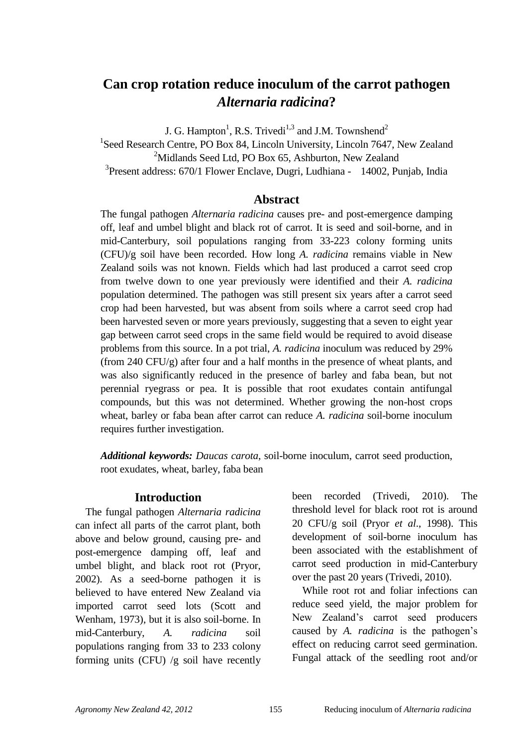# **Can crop rotation reduce inoculum of the carrot pathogen**  *Alternaria radicina***?**

J. G. Hampton<sup>1</sup>, R.S. Trivedi<sup>1,3</sup> and J.M. Townshend<sup>2</sup>

<sup>1</sup>Seed Research Centre, PO Box 84, Lincoln University, Lincoln 7647, New Zealand  $2^2$ Midlands Seed Ltd, PO Box 65, Ashburton, New Zealand <sup>3</sup> Present address: 670/1 Flower Enclave, Dugri, Ludhiana - 14002, Punjab, India

## **Abstract**

The fungal pathogen *Alternaria radicina* causes pre- and post-emergence damping off, leaf and umbel blight and black rot of carrot. It is seed and soil-borne, and in mid-Canterbury, soil populations ranging from 33-223 colony forming units (CFU)/g soil have been recorded. How long *A. radicina* remains viable in New Zealand soils was not known. Fields which had last produced a carrot seed crop from twelve down to one year previously were identified and their *A. radicina* population determined. The pathogen was still present six years after a carrot seed crop had been harvested, but was absent from soils where a carrot seed crop had been harvested seven or more years previously, suggesting that a seven to eight year gap between carrot seed crops in the same field would be required to avoid disease problems from this source. In a pot trial, *A. radicina* inoculum was reduced by 29% (from 240 CFU/g) after four and a half months in the presence of wheat plants, and was also significantly reduced in the presence of barley and faba bean, but not perennial ryegrass or pea. It is possible that root exudates contain antifungal compounds, but this was not determined. Whether growing the non-host crops wheat, barley or faba bean after carrot can reduce *A. radicina* soil-borne inoculum requires further investigation.

*Additional keywords: Daucas carota*, soil-borne inoculum, carrot seed production, root exudates, wheat, barley, faba bean

### **Introduction**

The fungal pathogen *Alternaria radicina*  can infect all parts of the carrot plant, both above and below ground, causing pre- and post-emergence damping off, leaf and umbel blight, and black root rot (Pryor, 2002). As a seed-borne pathogen it is believed to have entered New Zealand via imported carrot seed lots (Scott and Wenham, 1973), but it is also soil-borne. In mid-Canterbury, *A. radicina* soil populations ranging from 33 to 233 colony forming units (CFU) /g soil have recently been recorded (Trivedi, 2010). The threshold level for black root rot is around 20 CFU/g soil (Pryor *et al*., 1998). This development of soil-borne inoculum has been associated with the establishment of carrot seed production in mid-Canterbury over the past 20 years (Trivedi, 2010).

While root rot and foliar infections can reduce seed yield, the major problem for New Zealand"s carrot seed producers caused by *A. radicina* is the pathogen's effect on reducing carrot seed germination. Fungal attack of the seedling root and/or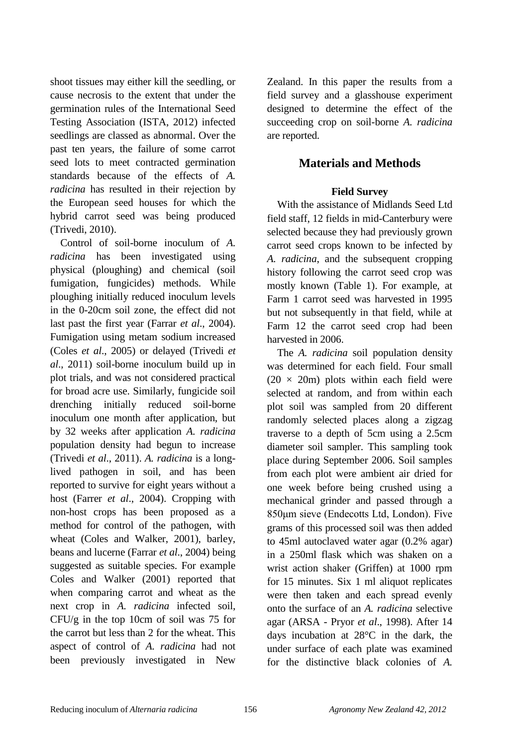shoot tissues may either kill the seedling, or cause necrosis to the extent that under the germination rules of the International Seed Testing Association (ISTA, 2012) infected seedlings are classed as abnormal. Over the past ten years, the failure of some carrot seed lots to meet contracted germination standards because of the effects of *A. radicina* has resulted in their rejection by the European seed houses for which the hybrid carrot seed was being produced (Trivedi, 2010).

Control of soil-borne inoculum of *A. radicina* has been investigated using physical (ploughing) and chemical (soil fumigation, fungicides) methods. While ploughing initially reduced inoculum levels in the 0-20cm soil zone, the effect did not last past the first year (Farrar *et al*., 2004). Fumigation using metam sodium increased (Coles *et al*., 2005) or delayed (Trivedi *et al*., 2011) soil-borne inoculum build up in plot trials, and was not considered practical for broad acre use. Similarly, fungicide soil drenching initially reduced soil-borne inoculum one month after application, but by 32 weeks after application *A. radicina* population density had begun to increase (Trivedi *et al*., 2011). *A. radicina* is a longlived pathogen in soil, and has been reported to survive for eight years without a host (Farrer *et al*., 2004). Cropping with non-host crops has been proposed as a method for control of the pathogen, with wheat (Coles and Walker, 2001), barley, beans and lucerne (Farrar *et al*., 2004) being suggested as suitable species. For example Coles and Walker (2001) reported that when comparing carrot and wheat as the next crop in *A. radicina* infected soil, CFU/g in the top 10cm of soil was 75 for the carrot but less than 2 for the wheat. This aspect of control of *A. radicina* had not been previously investigated in New Zealand. In this paper the results from a field survey and a glasshouse experiment designed to determine the effect of the succeeding crop on soil-borne *A. radicina* are reported.

# **Materials and Methods**

## **Field Survey**

With the assistance of Midlands Seed Ltd field staff, 12 fields in mid-Canterbury were selected because they had previously grown carrot seed crops known to be infected by *A. radicina*, and the subsequent cropping history following the carrot seed crop was mostly known (Table 1). For example, at Farm 1 carrot seed was harvested in 1995 but not subsequently in that field, while at Farm 12 the carrot seed crop had been harvested in 2006.

The *A. radicina* soil population density was determined for each field. Four small  $(20 \times 20m)$  plots within each field were selected at random, and from within each plot soil was sampled from 20 different randomly selected places along a zigzag traverse to a depth of 5cm using a 2.5cm diameter soil sampler. This sampling took place during September 2006. Soil samples from each plot were ambient air dried for one week before being crushed using a mechanical grinder and passed through a 850μm sieve (Endecotts Ltd, London). Five grams of this processed soil was then added to 45ml autoclaved water agar (0.2% agar) in a 250ml flask which was shaken on a wrist action shaker (Griffen) at 1000 rpm for 15 minutes. Six 1 ml aliquot replicates were then taken and each spread evenly onto the surface of an *A. radicina* selective agar (ARSA - Pryor *et al*., 1998). After 14 days incubation at 28°C in the dark, the under surface of each plate was examined for the distinctive black colonies of *A.*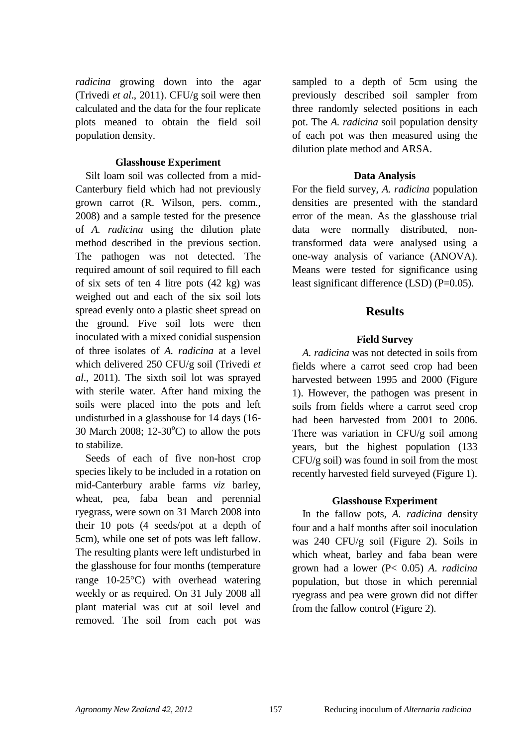*radicina* growing down into the agar (Trivedi *et al*., 2011). CFU/g soil were then calculated and the data for the four replicate plots meaned to obtain the field soil population density.

### **Glasshouse Experiment**

Silt loam soil was collected from a mid-Canterbury field which had not previously grown carrot (R. Wilson, pers. comm., 2008) and a sample tested for the presence of *A. radicina* using the dilution plate method described in the previous section. The pathogen was not detected. The required amount of soil required to fill each of six sets of ten 4 litre pots (42 kg) was weighed out and each of the six soil lots spread evenly onto a plastic sheet spread on the ground. Five soil lots were then inoculated with a mixed conidial suspension of three isolates of *A. radicina* at a level which delivered 250 CFU/g soil (Trivedi *et al*., 2011). The sixth soil lot was sprayed with sterile water. After hand mixing the soils were placed into the pots and left undisturbed in a glasshouse for 14 days (16- 30 March 2008; 12-30 $^{\circ}$ C) to allow the pots to stabilize.

Seeds of each of five non-host crop species likely to be included in a rotation on mid-Canterbury arable farms *viz* barley, wheat, pea, faba bean and perennial ryegrass, were sown on 31 March 2008 into their 10 pots (4 seeds/pot at a depth of 5cm), while one set of pots was left fallow. The resulting plants were left undisturbed in the glasshouse for four months (temperature range  $10-25\degree C$ ) with overhead watering weekly or as required. On 31 July 2008 all plant material was cut at soil level and removed. The soil from each pot was sampled to a depth of 5cm using the previously described soil sampler from three randomly selected positions in each pot. The *A. radicina* soil population density of each pot was then measured using the dilution plate method and ARSA.

### **Data Analysis**

For the field survey, *A. radicina* population densities are presented with the standard error of the mean. As the glasshouse trial data were normally distributed, nontransformed data were analysed using a one-way analysis of variance (ANOVA). Means were tested for significance using least significant difference (LSD) (P=0.05).

## **Results**

## **Field Survey**

*A. radicina* was not detected in soils from fields where a carrot seed crop had been harvested between 1995 and 2000 (Figure 1). However, the pathogen was present in soils from fields where a carrot seed crop had been harvested from 2001 to 2006. There was variation in  $CFU/g$  soil among years, but the highest population (133  $CFU/g$  soil) was found in soil from the most recently harvested field surveyed (Figure 1).

### **Glasshouse Experiment**

In the fallow pots, *A. radicina* density four and a half months after soil inoculation was 240 CFU/g soil (Figure 2). Soils in which wheat, barley and faba bean were grown had a lower (P< 0.05) *A. radicina* population, but those in which perennial ryegrass and pea were grown did not differ from the fallow control (Figure 2).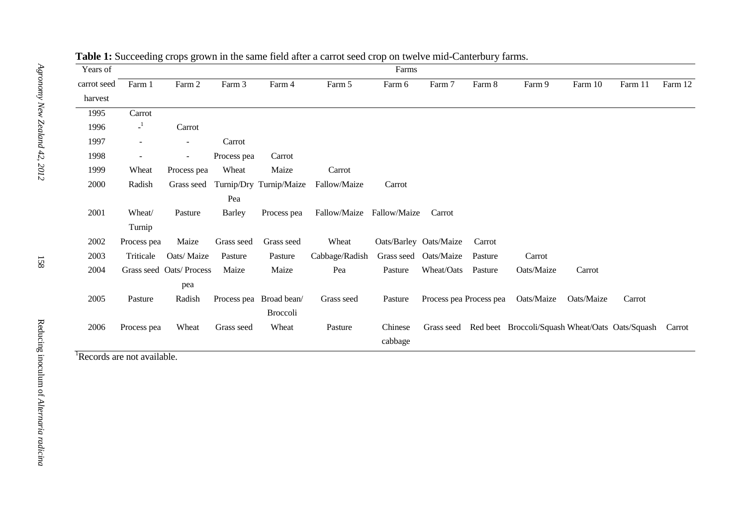| Years of    |              | O<br>х.<br>$\circ$<br>л.<br>Farms |             |                         |                |              |                         |         |                                                                   |            |         |         |  |
|-------------|--------------|-----------------------------------|-------------|-------------------------|----------------|--------------|-------------------------|---------|-------------------------------------------------------------------|------------|---------|---------|--|
| carrot seed | Farm 1       | Farm 2                            | Farm 3      | Farm 4                  | Farm 5         | Farm 6       | Farm 7                  | Farm 8  | Farm 9                                                            | Farm 10    | Farm 11 | Farm 12 |  |
| harvest     |              |                                   |             |                         |                |              |                         |         |                                                                   |            |         |         |  |
| 1995        | Carrot       |                                   |             |                         |                |              |                         |         |                                                                   |            |         |         |  |
| 1996        | $\mathbf{I}$ | Carrot                            |             |                         |                |              |                         |         |                                                                   |            |         |         |  |
| 1997        |              | $\overline{\phantom{a}}$          | Carrot      |                         |                |              |                         |         |                                                                   |            |         |         |  |
| 1998        |              | $\overline{\phantom{a}}$          | Process pea | Carrot                  |                |              |                         |         |                                                                   |            |         |         |  |
| 1999        | Wheat        | Process pea                       | Wheat       | Maize                   | Carrot         |              |                         |         |                                                                   |            |         |         |  |
| 2000        | Radish       | Grass seed                        |             | Turnip/Dry Turnip/Maize | Fallow/Maize   | Carrot       |                         |         |                                                                   |            |         |         |  |
|             |              |                                   | Pea         |                         |                |              |                         |         |                                                                   |            |         |         |  |
| 2001        | Wheat/       | Pasture                           | Barley      | Process pea             | Fallow/Maize   | Fallow/Maize | Carrot                  |         |                                                                   |            |         |         |  |
|             | Turnip       |                                   |             |                         |                |              |                         |         |                                                                   |            |         |         |  |
| 2002        | Process pea  | Maize                             | Grass seed  | Grass seed              | Wheat          |              | Oats/Barley Oats/Maize  | Carrot  |                                                                   |            |         |         |  |
| 2003        | Triticale    | Oats/Maize                        | Pasture     | Pasture                 | Cabbage/Radish |              | Grass seed Oats/Maize   | Pasture | Carrot                                                            |            |         |         |  |
| 2004        |              | Grass seed Oats/ Process          | Maize       | Maize                   | Pea            | Pasture      | Wheat/Oats              | Pasture | Oats/Maize                                                        | Carrot     |         |         |  |
|             |              | pea                               |             |                         |                |              |                         |         |                                                                   |            |         |         |  |
| 2005        | Pasture      | Radish                            |             | Process pea Broad bean/ | Grass seed     | Pasture      | Process pea Process pea |         | Oats/Maize                                                        | Oats/Maize | Carrot  |         |  |
|             |              |                                   |             | <b>Broccoli</b>         |                |              |                         |         |                                                                   |            |         |         |  |
| 2006        | Process pea  | Wheat                             | Grass seed  | Wheat                   | Pasture        | Chinese      |                         |         | Grass seed Red beet Broccoli/Squash Wheat/Oats Oats/Squash Carrot |            |         |         |  |
|             |              |                                   |             |                         |                | cabbage      |                         |         |                                                                   |            |         |         |  |

### **Table 1:** Succeeding crops grown in the same field after a carrot seed crop on twelve mid-Canterbury farms.

<sup>1</sup>Records are not available.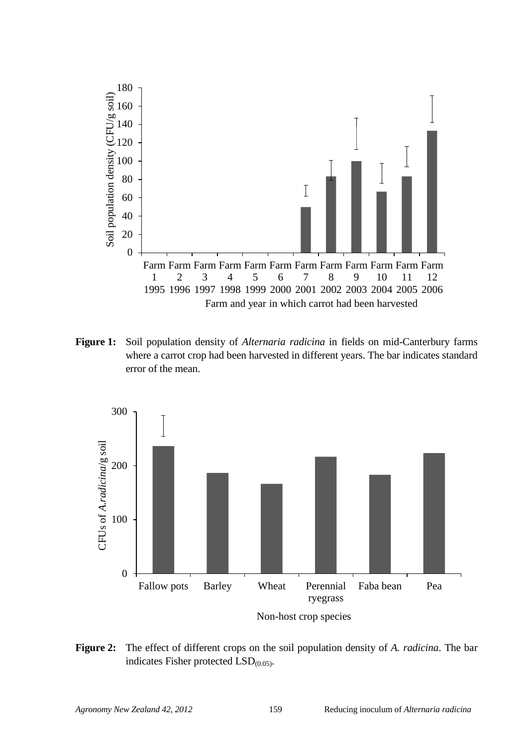

**Figure 1:** Soil population density of *Alternaria radicina* in fields on mid-Canterbury farms where a carrot crop had been harvested in different years. The bar indicates standard error of the mean.



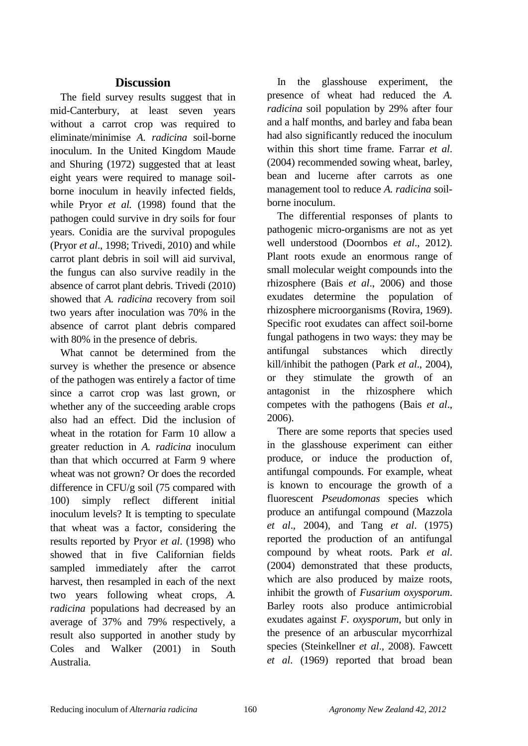# **Discussion**

The field survey results suggest that in mid-Canterbury, at least seven years without a carrot crop was required to eliminate/minimise *A. radicina* soil-borne inoculum. In the United Kingdom Maude and Shuring (1972) suggested that at least eight years were required to manage soilborne inoculum in heavily infected fields, while Pryor *et al.* (1998) found that the pathogen could survive in dry soils for four years. Conidia are the survival propogules (Pryor *et al*., 1998; Trivedi, 2010) and while carrot plant debris in soil will aid survival, the fungus can also survive readily in the absence of carrot plant debris. Trivedi (2010) showed that *A. radicina* recovery from soil two years after inoculation was 70% in the absence of carrot plant debris compared with 80% in the presence of debris.

What cannot be determined from the survey is whether the presence or absence of the pathogen was entirely a factor of time since a carrot crop was last grown, or whether any of the succeeding arable crops also had an effect. Did the inclusion of wheat in the rotation for Farm 10 allow a greater reduction in *A. radicina* inoculum than that which occurred at Farm 9 where wheat was not grown? Or does the recorded difference in CFU/g soil (75 compared with 100) simply reflect different initial inoculum levels? It is tempting to speculate that wheat was a factor, considering the results reported by Pryor *et al*. (1998) who showed that in five Californian fields sampled immediately after the carrot harvest, then resampled in each of the next two years following wheat crops, *A. radicina* populations had decreased by an average of 37% and 79% respectively, a result also supported in another study by Coles and Walker (2001) in South Australia.

In the glasshouse experiment, the presence of wheat had reduced the *A. radicina* soil population by 29% after four and a half months, and barley and faba bean had also significantly reduced the inoculum within this short time frame. Farrar *et al*. (2004) recommended sowing wheat, barley, bean and lucerne after carrots as one management tool to reduce *A. radicina* soilborne inoculum.

The differential responses of plants to pathogenic micro-organisms are not as yet well understood (Doornbos *et al*., 2012). Plant roots exude an enormous range of small molecular weight compounds into the rhizosphere (Bais *et al*., 2006) and those exudates determine the population of rhizosphere microorganisms (Rovira, 1969). Specific root exudates can affect soil-borne fungal pathogens in two ways: they may be antifungal substances which directly kill/inhibit the pathogen (Park *et al*., 2004), or they stimulate the growth of an antagonist in the rhizosphere which competes with the pathogens (Bais *et al*., 2006).

There are some reports that species used in the glasshouse experiment can either produce, or induce the production of, antifungal compounds. For example, wheat is known to encourage the growth of a fluorescent *Pseudomonas* species which produce an antifungal compound (Mazzola *et al*., 2004), and Tang *et al*. (1975) reported the production of an antifungal compound by wheat roots. Park *et al*. (2004) demonstrated that these products, which are also produced by maize roots, inhibit the growth of *Fusarium oxysporum*. Barley roots also produce antimicrobial exudates against *F. oxysporum*, but only in the presence of an arbuscular mycorrhizal species (Steinkellner *et al*., 2008). Fawcett *et al*. (1969) reported that broad bean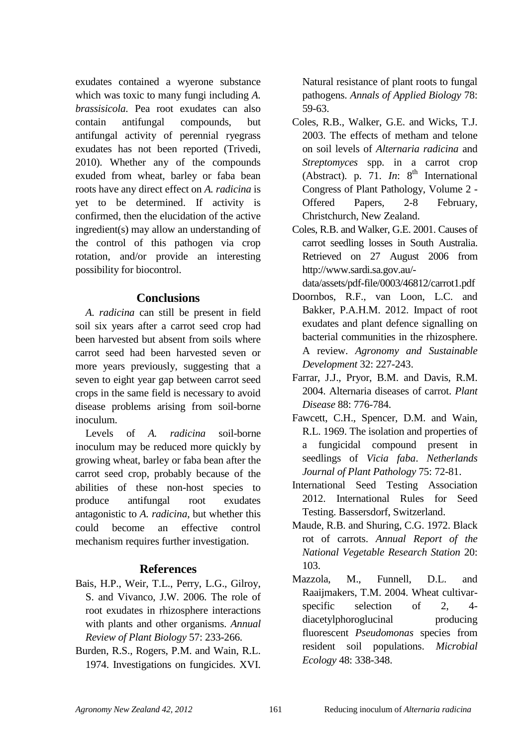exudates contained a wyerone substance which was toxic to many fungi including *A. brassisicola.* Pea root exudates can also contain antifungal compounds, but antifungal activity of perennial ryegrass exudates has not been reported (Trivedi, 2010). Whether any of the compounds exuded from wheat, barley or faba bean roots have any direct effect on *A. radicina* is yet to be determined. If activity is confirmed, then the elucidation of the active ingredient(s) may allow an understanding of the control of this pathogen via crop rotation, and/or provide an interesting possibility for biocontrol.

## **Conclusions**

*A. radicina* can still be present in field soil six years after a carrot seed crop had been harvested but absent from soils where carrot seed had been harvested seven or more years previously, suggesting that a seven to eight year gap between carrot seed crops in the same field is necessary to avoid disease problems arising from soil-borne inoculum.

Levels of *A. radicina* soil-borne inoculum may be reduced more quickly by growing wheat, barley or faba bean after the carrot seed crop, probably because of the abilities of these non-host species to produce antifungal root exudates antagonistic to *A. radicina*, but whether this could become an effective control mechanism requires further investigation.

# **References**

- Bais, H.P., Weir, T.L., Perry, L.G., Gilroy, S. and Vivanco, J.W. 2006. The role of root exudates in rhizosphere interactions with plants and other organisms. *Annual Review of Plant Biology* 57: 233-266.
- Burden, R.S., Rogers, P.M. and Wain, R.L. 1974. Investigations on fungicides. XVI.

Natural resistance of plant roots to fungal pathogens. *Annals of Applied Biology* 78: 59-63.

- Coles, R.B., Walker, G.E. and Wicks, T.J. 2003. The effects of metham and telone on soil levels of *Alternaria radicina* and *Streptomyces* spp. in a carrot crop (Abstract). p. 71.  $In: 8<sup>th</sup> International$ Congress of Plant Pathology, Volume 2 - Offered Papers, 2-8 February, Christchurch, New Zealand.
- Coles, R.B. and Walker, G.E. 2001. Causes of carrot seedling losses in South Australia. Retrieved on 27 August 2006 from http://www.sardi.sa.gov.au/
	- data/assets/pdf-file/0003/46812/carrot1.pdf
- Doornbos, R.F., van Loon, L.C. and Bakker, P.A.H.M. 2012. Impact of root exudates and plant defence signalling on bacterial communities in the rhizosphere. A review. *Agronomy and Sustainable Development* 32: 227-243.
- Farrar, J.J., Pryor, B.M. and Davis, R.M. 2004. Alternaria diseases of carrot. *Plant Disease* 88: 776-784.
- Fawcett, C.H., Spencer, D.M. and Wain, R.L. 1969. The isolation and properties of a fungicidal compound present in seedlings of *Vicia faba*. *Netherlands Journal of Plant Pathology* 75: 72-81.
- International Seed Testing Association 2012. International Rules for Seed Testing. Bassersdorf, Switzerland.
- Maude, R.B. and Shuring, C.G. 1972. Black rot of carrots. *Annual Report of the National Vegetable Research Station* 20: 103.
- Mazzola, M., Funnell, D.L. and Raaijmakers, T.M. 2004. Wheat cultivarspecific selection of 2, 4 diacetylphoroglucinal producing fluorescent *Pseudomonas* species from resident soil populations. *Microbial Ecology* 48: 338-348.